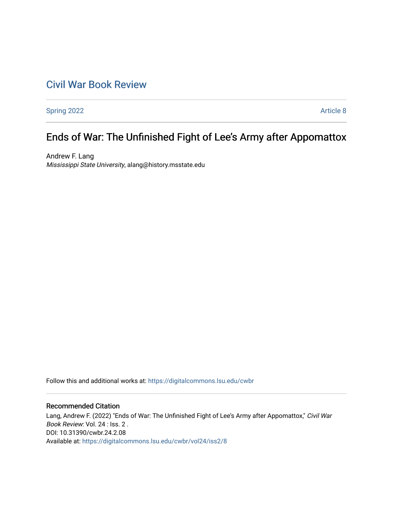## [Civil War Book Review](https://digitalcommons.lsu.edu/cwbr)

[Spring 2022](https://digitalcommons.lsu.edu/cwbr/vol24/iss2) **Article 8** 

# Ends of War: The Unfinished Fight of Lee's Army after Appomattox

Andrew F. Lang Mississippi State University, alang@history.msstate.edu

Follow this and additional works at: [https://digitalcommons.lsu.edu/cwbr](https://digitalcommons.lsu.edu/cwbr?utm_source=digitalcommons.lsu.edu%2Fcwbr%2Fvol24%2Fiss2%2F8&utm_medium=PDF&utm_campaign=PDFCoverPages) 

#### Recommended Citation

Lang, Andrew F. (2022) "Ends of War: The Unfinished Fight of Lee's Army after Appomattox," Civil War Book Review: Vol. 24 : Iss. 2 . DOI: 10.31390/cwbr.24.2.08 Available at: [https://digitalcommons.lsu.edu/cwbr/vol24/iss2/8](https://digitalcommons.lsu.edu/cwbr/vol24/iss2/8?utm_source=digitalcommons.lsu.edu%2Fcwbr%2Fvol24%2Fiss2%2F8&utm_medium=PDF&utm_campaign=PDFCoverPages)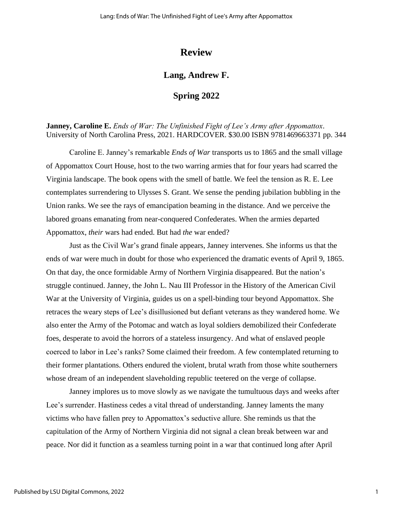### **Review**

#### **Lang, Andrew F.**

#### **Spring 2022**

**Janney, Caroline E.** *Ends of War: The Unfinished Fight of Lee's Army after Appomattox*. University of North Carolina Press, 2021. HARDCOVER. \$30.00 ISBN 9781469663371 pp. 344

Caroline E. Janney's remarkable *Ends of War* transports us to 1865 and the small village of Appomattox Court House, host to the two warring armies that for four years had scarred the Virginia landscape. The book opens with the smell of battle. We feel the tension as R. E. Lee contemplates surrendering to Ulysses S. Grant. We sense the pending jubilation bubbling in the Union ranks. We see the rays of emancipation beaming in the distance. And we perceive the labored groans emanating from near-conquered Confederates. When the armies departed Appomattox, *their* wars had ended. But had *the* war ended?

Just as the Civil War's grand finale appears, Janney intervenes. She informs us that the ends of war were much in doubt for those who experienced the dramatic events of April 9, 1865. On that day, the once formidable Army of Northern Virginia disappeared. But the nation's struggle continued. Janney, the John L. Nau III Professor in the History of the American Civil War at the University of Virginia, guides us on a spell-binding tour beyond Appomattox. She retraces the weary steps of Lee's disillusioned but defiant veterans as they wandered home. We also enter the Army of the Potomac and watch as loyal soldiers demobilized their Confederate foes, desperate to avoid the horrors of a stateless insurgency. And what of enslaved people coerced to labor in Lee's ranks? Some claimed their freedom. A few contemplated returning to their former plantations. Others endured the violent, brutal wrath from those white southerners whose dream of an independent slaveholding republic teetered on the verge of collapse.

Janney implores us to move slowly as we navigate the tumultuous days and weeks after Lee's surrender. Hastiness cedes a vital thread of understanding. Janney laments the many victims who have fallen prey to Appomattox's seductive allure. She reminds us that the capitulation of the Army of Northern Virginia did not signal a clean break between war and peace. Nor did it function as a seamless turning point in a war that continued long after April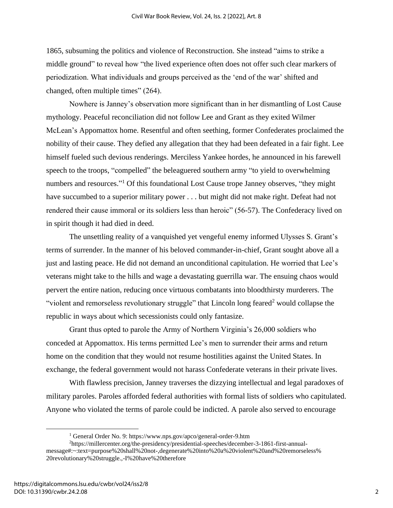1865, subsuming the politics and violence of Reconstruction. She instead "aims to strike a middle ground" to reveal how "the lived experience often does not offer such clear markers of periodization. What individuals and groups perceived as the 'end of the war' shifted and changed, often multiple times" (264).

Nowhere is Janney's observation more significant than in her dismantling of Lost Cause mythology. Peaceful reconciliation did not follow Lee and Grant as they exited Wilmer McLean's Appomattox home. Resentful and often seething, former Confederates proclaimed the nobility of their cause. They defied any allegation that they had been defeated in a fair fight. Lee himself fueled such devious renderings. Merciless Yankee hordes, he announced in his farewell speech to the troops, "compelled" the beleaguered southern army "to yield to overwhelming numbers and resources."<sup>1</sup> Of this foundational Lost Cause trope Janney observes, "they might have succumbed to a superior military power . . . but might did not make right. Defeat had not rendered their cause immoral or its soldiers less than heroic" (56-57). The Confederacy lived on in spirit though it had died in deed.

The unsettling reality of a vanquished yet vengeful enemy informed Ulysses S. Grant's terms of surrender. In the manner of his beloved commander-in-chief, Grant sought above all a just and lasting peace. He did not demand an unconditional capitulation. He worried that Lee's veterans might take to the hills and wage a devastating guerrilla war. The ensuing chaos would pervert the entire nation, reducing once virtuous combatants into bloodthirsty murderers. The "violent and remorseless revolutionary struggle" that Lincoln long feared<sup>2</sup> would collapse the republic in ways about which secessionists could only fantasize.

Grant thus opted to parole the Army of Northern Virginia's 26,000 soldiers who conceded at Appomattox. His terms permitted Lee's men to surrender their arms and return home on the condition that they would not resume hostilities against the United States. In exchange, the federal government would not harass Confederate veterans in their private lives.

With flawless precision, Janney traverses the dizzying intellectual and legal paradoxes of military paroles. Paroles afforded federal authorities with formal lists of soldiers who capitulated. Anyone who violated the terms of parole could be indicted. A parole also served to encourage

<sup>1</sup> General Order No. 9: https://www.nps.gov/apco/general-order-9.htm

<sup>2</sup>https://millercenter.org/the-presidency/presidential-speeches/december-3-1861-first-annualmessage#:~:text=purpose%20shall%20not-,degenerate%20into%20a%20violent%20and%20remorseless% 20revolutionary%20struggle.,-I%20have%20therefore